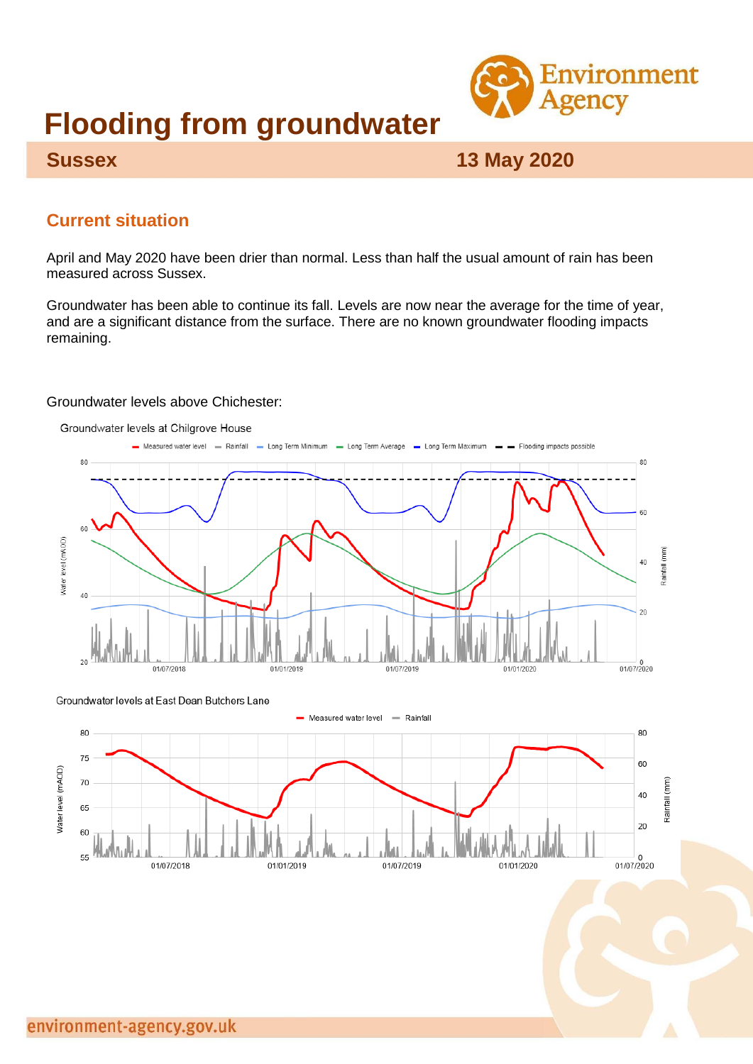

# **Flooding from groundwater**

# **Sussex 13 May 2020**

# **Current situation**

April and May 2020 have been drier than normal. Less than half the usual amount of rain has been measured across Sussex.

Groundwater has been able to continue its fall. Levels are now near the average for the time of year, and are a significant distance from the surface. There are no known groundwater flooding impacts remaining.

#### Groundwater levels above Chichester:

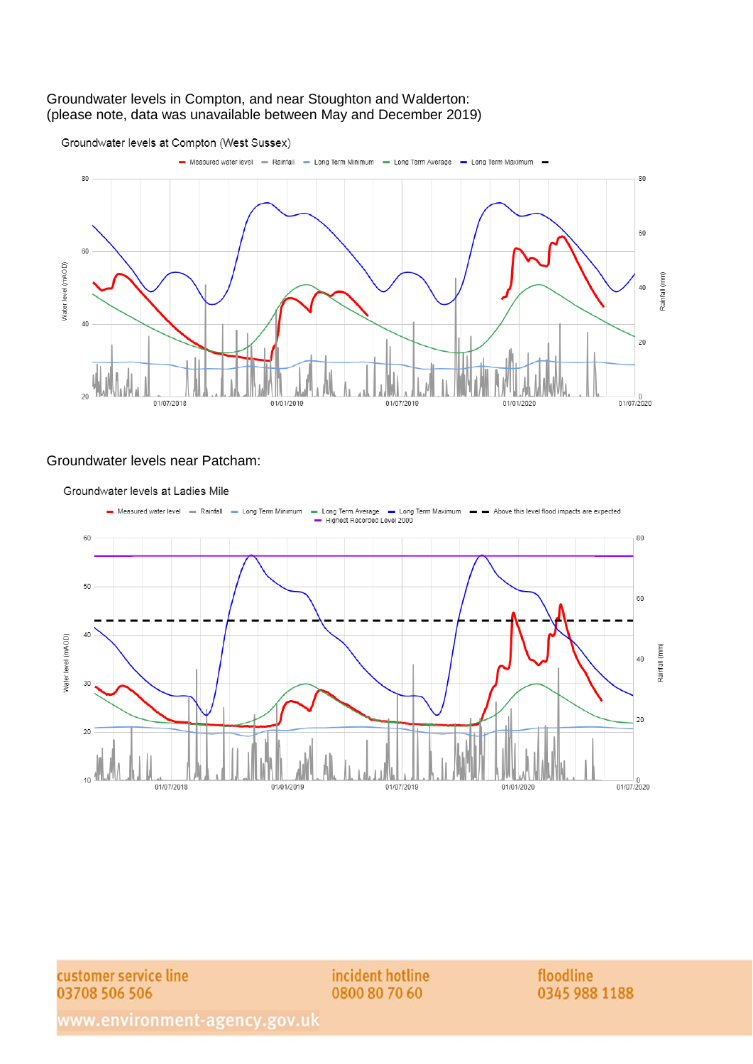#### Groundwater levels in Compton, and near Stoughton and Walderton: (please note, data was unavailable between May and December 2019)



#### Groundwater levels near Patcham:



Groundwater levels at Ladies Mile

customer service line 03708 506 506

incident hotline 0800 80 70 60

floodline 0345 988 1188

www.environment-agency.gov.uk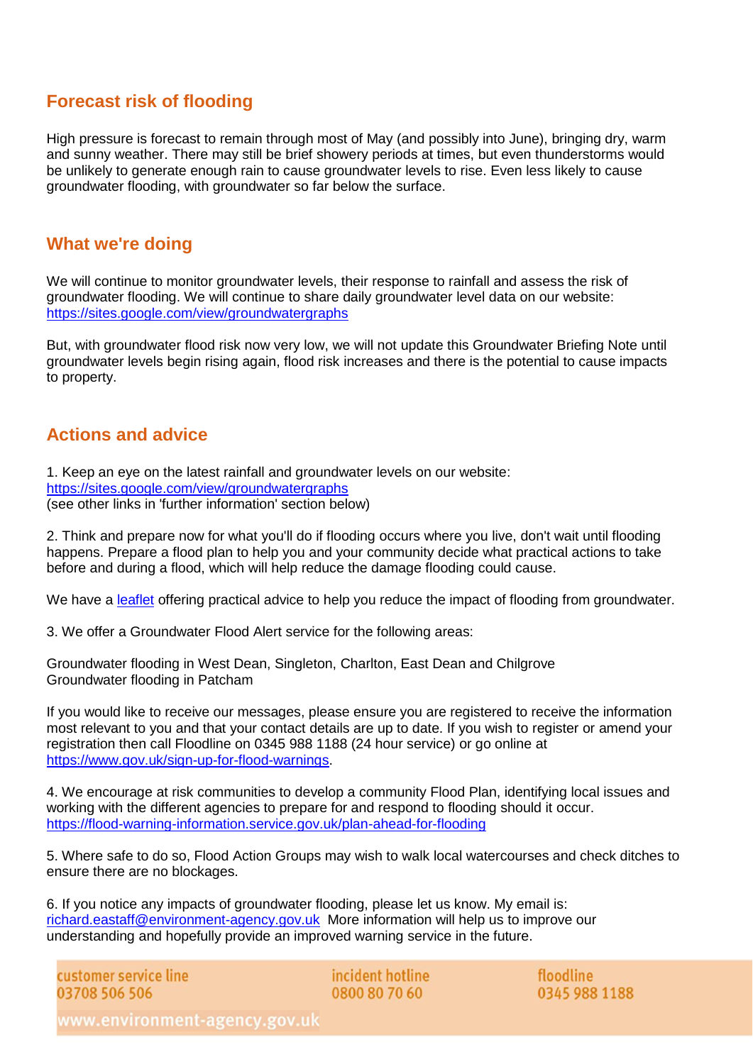## **Forecast risk of flooding**

High pressure is forecast to remain through most of May (and possibly into June), bringing dry, warm and sunny weather. There may still be brief showery periods at times, but even thunderstorms would be unlikely to generate enough rain to cause groundwater levels to rise. Even less likely to cause groundwater flooding, with groundwater so far below the surface.

#### **What we're doing**

We will continue to monitor groundwater levels, their response to rainfall and assess the risk of groundwater flooding. We will continue to share daily groundwater level data on our website: <https://sites.google.com/view/groundwatergraphs>

But, with groundwater flood risk now very low, we will not update this Groundwater Briefing Note until groundwater levels begin rising again, flood risk increases and there is the potential to cause impacts to property.

#### **Actions and advice**

1. Keep an eye on the latest rainfall and groundwater levels on our website: <https://sites.google.com/view/groundwatergraphs> (see other links in 'further information' section below)

2. Think and prepare now for what you'll do if flooding occurs where you live, don't wait until flooding happens. Prepare a flood plan to help you and your community decide what practical actions to take before and during a flood, which will help reduce the damage flooding could cause.

We have a [leaflet](https://www.gov.uk/government/publications/flooding-from-groundwater) offering practical advice to help you reduce the impact of flooding from groundwater.

3. We offer a Groundwater Flood Alert service for the following areas:

Groundwater flooding in West Dean, Singleton, Charlton, East Dean and Chilgrove Groundwater flooding in Patcham

If you would like to receive our messages, please ensure you are registered to receive the information most relevant to you and that your contact details are up to date. If you wish to register or amend your registration then call Floodline on 0345 988 1188 (24 hour service) or go online at [https://www.gov.uk/sign-up-for-flood-warnings.](https://www.gov.uk/sign-up-for-flood-warnings)

4. We encourage at risk communities to develop a community Flood Plan, identifying local issues and working with the different agencies to prepare for and respond to flooding should it occur. <https://flood-warning-information.service.gov.uk/plan-ahead-for-flooding>

5. Where safe to do so, Flood Action Groups may wish to walk local watercourses and check ditches to ensure there are no blockages.

6. If you notice any impacts of groundwater flooding, please let us know. My email is: [richard.eastaff@environment-agency.gov.uk](mailto:richard.eastaff@environment-agency.gov.uk) More information will help us to improve our understanding and hopefully provide an improved warning service in the future.

customer service line 03708 506 506

incident hotline 0800 80 70 60

floodline 0345 988 1188

www.environment-agency.gov.uk